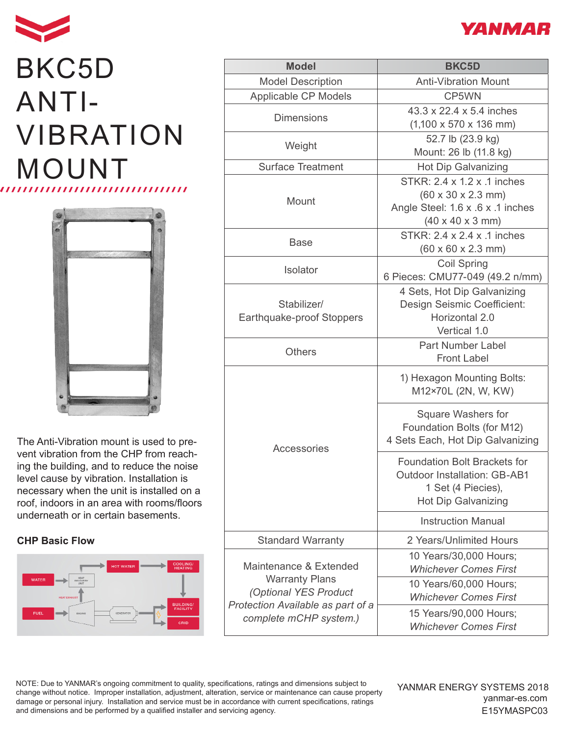

## BKC5D ANTI-VIBRATION MOUNT



The Anti-Vibration mount is used to prevent vibration from the CHP from reaching the building, and to reduce the noise level cause by vibration. Installation is necessary when the unit is installed on a roof, indoors in an area with rooms/floors underneath or in certain basements.

## **CHP Basic Flow**



| <b>Model</b>                                                                                                                            | <b>BKC5D</b>                                                                                                                                       |
|-----------------------------------------------------------------------------------------------------------------------------------------|----------------------------------------------------------------------------------------------------------------------------------------------------|
| <b>Model Description</b>                                                                                                                | <b>Anti-Vibration Mount</b>                                                                                                                        |
| Applicable CP Models                                                                                                                    | CP5WN                                                                                                                                              |
| <b>Dimensions</b>                                                                                                                       | 43.3 x 22.4 x 5.4 inches<br>$(1,100 \times 570 \times 136 \text{ mm})$                                                                             |
| Weight                                                                                                                                  | 52.7 lb (23.9 kg)<br>Mount: 26 lb (11.8 kg)                                                                                                        |
| <b>Surface Treatment</b>                                                                                                                | <b>Hot Dip Galvanizing</b>                                                                                                                         |
| Mount                                                                                                                                   | STKR: 2.4 x 1.2 x .1 inches<br>$(60 \times 30 \times 2.3 \text{ mm})$<br>Angle Steel: 1.6 x .6 x .1 inches<br>$(40 \times 40 \times 3 \text{ mm})$ |
| Base                                                                                                                                    | STKR: 2.4 x 2.4 x .1 inches<br>$(60 \times 60 \times 2.3 \text{ mm})$                                                                              |
| <b>Isolator</b>                                                                                                                         | <b>Coil Spring</b><br>6 Pieces: CMU77-049 (49.2 n/mm)                                                                                              |
| Stabilizer/<br>Earthquake-proof Stoppers                                                                                                | 4 Sets, Hot Dip Galvanizing<br>Design Seismic Coefficient:<br>Horizontal 2.0<br>Vertical 1.0                                                       |
| <b>Others</b>                                                                                                                           | <b>Part Number Label</b><br><b>Front Label</b>                                                                                                     |
| Accessories                                                                                                                             | 1) Hexagon Mounting Bolts:<br>M12×70L (2N, W, KW)                                                                                                  |
|                                                                                                                                         | <b>Square Washers for</b><br>Foundation Bolts (for M12)<br>4 Sets Each, Hot Dip Galvanizing                                                        |
|                                                                                                                                         | <b>Foundation Bolt Brackets for</b><br><b>Outdoor Installation: GB-AB1</b><br>1 Set (4 Piecies),<br><b>Hot Dip Galvanizing</b>                     |
|                                                                                                                                         | <b>Instruction Manual</b>                                                                                                                          |
| <b>Standard Warranty</b>                                                                                                                | 2 Years/Unlimited Hours                                                                                                                            |
| Maintenance & Extended<br><b>Warranty Plans</b><br>(Optional YES Product<br>Protection Available as part of a<br>complete mCHP system.) | 10 Years/30,000 Hours;<br><b>Whichever Comes First</b>                                                                                             |
|                                                                                                                                         | 10 Years/60,000 Hours;<br><b>Whichever Comes First</b>                                                                                             |
|                                                                                                                                         | 15 Years/90,000 Hours;<br><b>Whichever Comes First</b>                                                                                             |

NOTE: Due to YANMAR's ongoing commitment to quality, specifications, ratings and dimensions subject to change without notice. Improper installation, adjustment, alteration, service or maintenance can cause property damage or personal injury. Installation and service must be in accordance with current specifications, ratings and dimensions and be performed by a qualified installer and servicing agency.